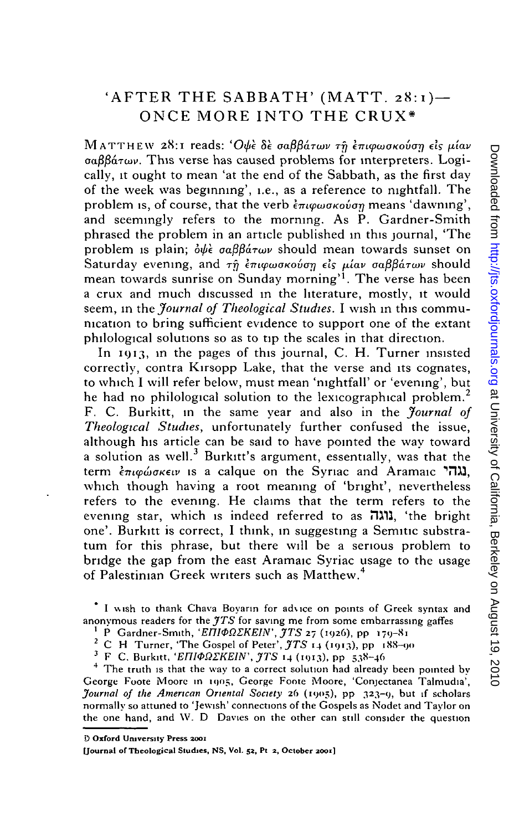# 'AFTER THE SABBATH' (MATT. 28:1)— ONCE MORE INTO THE CRUX\*

MATTHEW 28:1 reads: 'Oψε δε σαββάτων τη επιφωσκούση είς μίαν *oafifiaTcuv.* This verse has caused problems for interpreters. Logically, it ought to mean 'at the end of the Sabbath, as the first day of the week was beginning', i.e., as a reference to nightfall. The and seemingly refers to the morning. As P. Gardner-Smith phrased the problem in an article published in this journal, 'The problem is plain;  $\partial \psi \partial \phi$   $\partial \theta$  *oa*  $\partial \partial \phi$  should mean towards sunset on Saturday evening, and  $\tau \hat{n}$  *enigenovane els viav gaßbatwy* should mean towards sunrise on Sunday morning<sup>11</sup>. The verse has been a crux and much discussed in the literature, mostly, it would seem, in the *Journal of Theological Studies.* I wish in this communication to bring sufficient evidence to support one of the extant philological solutions so as to tip the scales in that direction.

**NATTENT WE SEND FORMALLY THE SIGNATE THE CONDUCT AND THE THE CONDUCT ON THE CONDUCT CONDUCT CONDUCT CONDUCT CONDUCT CONDUCT CONDUCT CONDUCT CONDUCT CONDUCT AND THE CONDUCT ON THE CONDUCT AND proposes, that the verb-fram** In 1913, in the pages of this journal, C. H. Turner insisted correctly, contra Kirsopp Lake, that the verse and its cognates, to which I will refer below, must mean 'nightfall' or 'evening', but he had no philological solution to the lexicographical problem.<sup>2</sup> F. C. Burkitt, in the same year and also in the *Journal of Theological Studies,* unfortunately further confused the issue, although his article can be said to have pointed the way toward a solution as well.<sup>3</sup> Burkitt's argument, essentially, was that the term *kmqxiiOKeiv* is a caique on the Syriac and Aramaic TWJ, which though having a root meaning of 'bright', nevertheless refers to the evening. He claims that the term refers to the evening star, which is indeed referred to as **EXII**, 'the bright one'. Burkitt is correct, I think, in suggesting a Semitic substratum for this phrase, but there will be a serious problem to bridge the gap from the east Aramaic Syriac usage to the usage of Palestinian Greek writers such as Matthew.

I wish to thank Chava Boyann for advice on points of Greek syntax and anonymous readers for the *JTS* for saving me from some embarrassing gaffes

<sup>1</sup> P Gardner-Smith, '*ΕΠΙΦΩΣΚΕΙΝ'*, *JTS* 27 (1926), pp 179-81

2 C H Turner, 'The Gospel of Peter', *JTS* 14 (1913), pp 188-90

<sup>3</sup> F C. Burkitt, '*EΠΙΦΩΣΚΕΙΝ*', *JTS* 14 (1913), pp 538-46

<sup>4</sup> The truth is that the way to a correct solution had already been pointed by George Foote Moore in 1905, George Foote Moore, 'Conjectanea Talmudia', *Journal of the American Oriental Society* 26 (1905), pp 323-9, but if scholars normally so attuned to 'Jewish' connections of the Gospels as Nodet and Taylor on the one hand, and \V. D Davies on the other can still consider the question

**9 Oxford University Press 2001**

**[Journal of Theological Studies, NS, Vol. 52, Pt 2, October 2001]**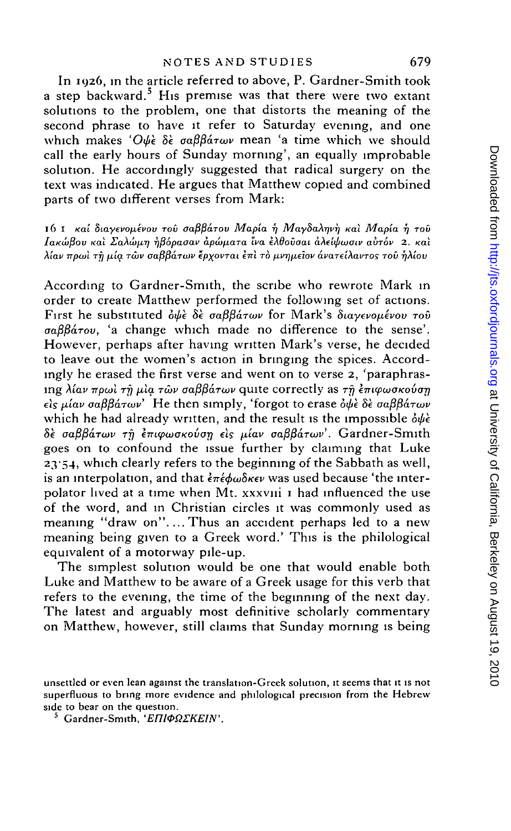In 1926, in the article referred to above, P. Gardner-Smith took a step backward.<sup>5</sup> His premise was that there were two extant solutions to the problem, one that distorts the meaning of the second phrase to have it refer to Saturday evening, and one which makes 'Oψε δε σαββάτων mean 'a time which we should call the early hours of Sunday morning', an equally improbable solution. He accordingly suggested that radical surgery on the text was indicated. He argues that Matthew copied and combined parts of two different verses from Mark:

16 I καί διαγενομένου του σαββάτου Μαρία ή Μαγδαληνή και Μαρία ή του /axuijSou *Kal EaXw^i-q rjfiopaoav apw/xaTa Iva kXdovoai aXeiifiwoiv avTov 2. Kal Xiav npwl TTj fiia TUIV oaflfiaLTiav epxovTai knl* TO *fjLvrjfxelov avaTeiXavros TOV TjXiov*

According to Gardner-Smith, the scribe who rewrote Mark in order to create Matthew performed the following set of actions. First he substituted *otpk 8k oafiPaTcov* for Mark's *Siayevopevov TOV oa.fifia.Tov,* 'a change which made no difference to the sense'. However, perhaps after having written Mark's verse, he decided to leave out the women's action in bringing the spices. Accordingly he erased the first verse and went on to verse 2, 'paraphrasing λίαν πρωί τη μία των σαββάτων quite correctly as τη επιφωσκούση  $\epsilon$ *is μίαν σαββάτων*<sup>'</sup> He then simply, 'forgot to erase *όψε δε σαββάτων* which he had already written, and the result is the impossible  $\delta \psi \dot{\epsilon}$ *8k oafipaTiuv rfj kTn(pojaKovarj els ft'iav* aaj3j3aTtov'. Gardner-Smith goes on to confound the issue further by claiming that Luke 2 3'54. which clearly refers to the beginning of the Sabbath as well, is an interpolation, and that  $\epsilon \pi \epsilon \phi \omega \delta \kappa \epsilon \nu$  was used because 'the interpolator lived at a time when Mt. xxxvni 1 had influenced the use of the word, and in Christian circles it was commonly used as meaning "draw on". ...Thus an accident perhaps led to a new meaning being given to a Greek word.' This is the philological equivalent of a motorway pile-up.

The simplest solution would be one that would enable both Luke and Matthew to be aware of a Greek usage for this verb that refers to the evening, the time of the beginning of the next day. The latest and arguably most definitive scholarly commentary on Matthew, however, still claims that Sunday morning is being

unsettled or even lean against the translation-Greek solution, it seems that it is not superfluous to bring more evidence and philological precision from the Hebrew side to bear on the question.

<sup>&</sup>lt;sup>5</sup> Gardner-Smith, '*EΠΙΦΩΣΚΕΙΝ'*.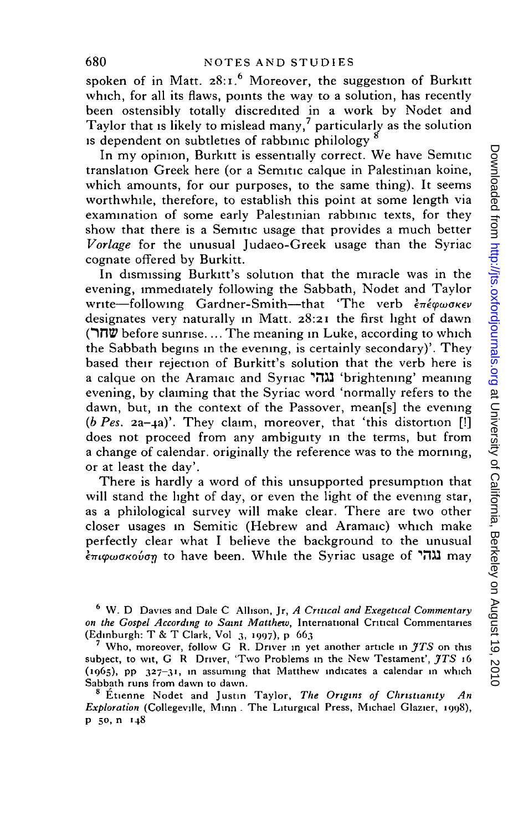spoken of in Matt. 28:1.<sup>6</sup> Moreover, the suggestion of Burkitt which, for all its flaws, points the way to a solution, has recently been ostensibly totally discredited in a work by Nodet and Taylor that is likely to mislead many,<sup>7</sup> particularly as the solution is dependent on subtleties of rabbinic philology

In my opinion, Burkitt is essentially correct. We have Semitic translation Greek here (or a Semitic caique in Palestinian koine, which amounts, for our purposes, to the same thing). It seems worthwhile, therefore, to establish this point at some length via examination of some early Palestinian rabbinic texts, for they show that there is a Semitic usage that provides a much better *Vorlage* for the unusual Judaeo-Greek usage than the Syriac cognate offered by Burkitt.

In dismissing Burkitt's solution that the miracle was in the evening, immediately following the Sabbath, Nodet and Taylor write—following Gardner-Smith—that 'The verb επέφωσκεν designates very naturally in Matt. 28:21 the first light of dawn **OntP** before sunrise.... The meaning in Luke, according to which the Sabbath begins in the evening, is certainly secondary)'. They based their rejection of Burkitt's solution that the verb here is a caique on the Aramaic and Syriac **Till** 'brightening' meaning evening, by claiming that the Syriac word 'normally refers to the dawn, but, in the context of the Passover, mean[s] the evening *(b Pes.* 2a-4a)'. They claim, moreover, that 'this distortion [!] does not proceed from any ambiguity in the terms, but from a change of calendar, originally the reference was to the morning, or at least the day'.

There is hardly a word of this unsupported presumption that will stand the light of day, or even the light of the evening star, as a philological survey will make clear. There are two other closer usages in Semitic (Hebrew and Aramaic) which make perfectly clear what I believe the background to the unusual  $\epsilon_{\pi\iota\varphi\omega\sigma\kappa\sigma\varphi\sigma\eta}$  to have been. While the Syriac usage of  $\eta\iota$  may

6 W. D Davies and Dale C Allison, Jr, *A Critical and Exegettcal Commentary on the Gospel According to Saint Matthew,* International Critical Commentaries (Edinburgh: T & T Clark, Vol 3, 1997), p 663

7 Who, moreover, follow G R. Driver in yet another article in *JTS* on this subject, to wit, G R Driver, 'Two Problems in the New Testament', *JTS* 16 (1965), pp 327-31, in assuming that Matthew indicates a calendar in which Sabbath runs from dawn to dawn.

8 Etienne Nodet and Justin Taylor, *The Origins of Christianity An Exploration* (Collegeville, Minn . The Liturgical Press, Michael Glazier, 1998), p 50, n 148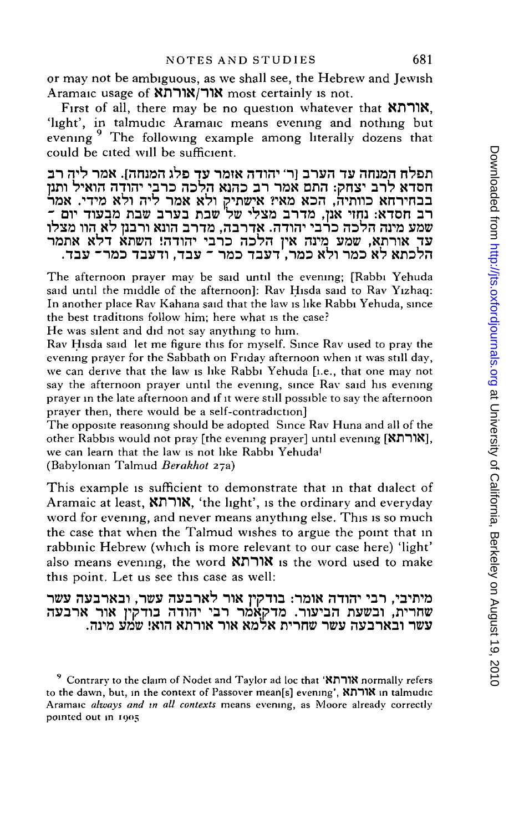or may not be ambiguous, as we shall see, the Hebrew and Jewish Aramaic usage of **Kורואורה** most certainly is not.

First of all, there may be no question whatever that **XHIIX,** 'light', in talmudic Aramaic means evening and nothing but evening <sup>9</sup> The following example among literally dozens that could be cited will be sufficient.

ה<sub>ָ</sub>מנחה עד הערב (ר' יהודה אזמר עדְ פלג המנחה). אמר ליה<mark>ָ</mark> רב ן, יש יותר המודע המודע המודע המודע המודע המודע המודע המודע המודע.<br>לרב יצחק: התם אמר רב כהנא הלכה כרבי יהודה הואיל ותנן הא כוותיה, הכא מאי? אישתיק ולא אמר ליה ולא מידי. אמר רב חסדא: נחזי אנן, מדרב מצלי של<sup>ו</sup> שבת בערב שבת מבעוד יום ־ שמע מינה הלכה כרבי יהודה. אדרבה, מדרב הונא ורבנן לא הוו מצלו nanx XVT sn»n imin\*<sup>1</sup> "ana naVn ^N ni^a vac? ,NmiN .nay -naa naym ,nay - naa nayn ,naa sbi naa N<sup>1</sup>

The afternoon prayer may be said until the evening; [Rabbi Yehuda said until the middle of the afternoon]: Rav Hisda said to Rav Yizhaq: In another place Rav Kahana said that the law is like Rabbi Yehuda, since the best traditions follow him; here what is the case?

He was silent and did not say anything to him.

Rav Hisda said let me figure this for myself. Since Rav used to pray the evening prayer for the Sabbath on Friday afternoon when it was still day, we can derive that the law is like Rabbi Yehuda [i.e., that one may not say the afternoon prayer until the evening, since Ray said his evening prayer in the late afternoon and if it were still possible to say the afternoon prayer then, there would be a self-contradiction]

The opposite reasoning should be adopted Since Rav Huna and all of the other Rabbis would not pray [the evening prayer] until evening **[SfimN],** we can learn that the law is not like Rabbi Yehuda<sup>1</sup> (Babylonian Talmud *Berakhot* 27a)

This example is sufficient to demonstrate that in that dialect of Aramaic at least, **XJimX,** 'the light', is the ordinary and everyday word for evening, and never means anything else. This is so much the case that when the Talmud wishes to argue the point that in rabbinic Hebrew (which is more relevant to our case here) 'light' also means evening, the word **KDmN** is the word used to make this point. Let us see this case as well:

מיתיבי, רבי יהודה אומר: בודקין אור לארבעה עשר, ובארבעה עשר שחרית. ובשעת הביעור. מדקאמר רבי יהודה בודקין אור ארבעה .nra yaw win xnms TIN Na?N rrnn» nwy nyanxai *~ws*

<sup>9</sup> Contrary to the claim of Nodet and Taylor ad loc that **'NnTlN** normally refers to the dawn, but, in the context of Passover meanfs] evening', **NmiN** in talmudic Aramaic *always and in all contexts* means evening, as Moore already correctly pointed out in 1905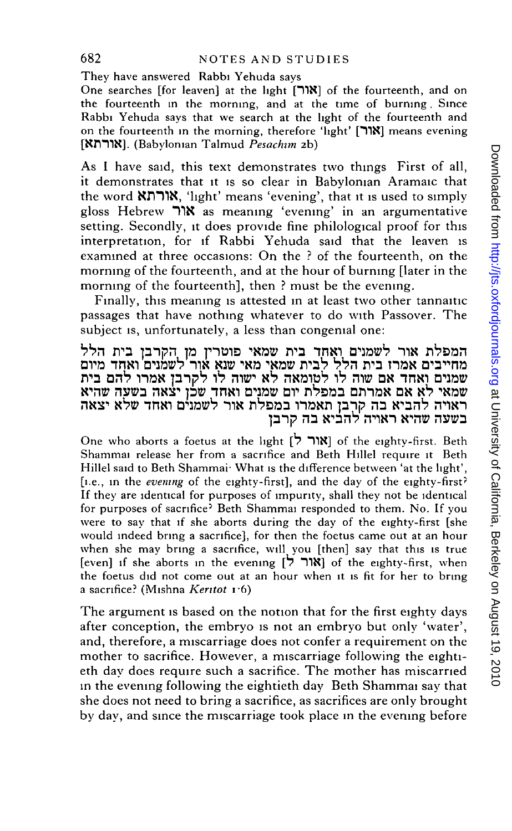### 682 NOTES AND STUDIES

They have answered Rabbi Yehuda says

One searches [for leaven] at the light [^1N] of the fourteenth, and on the fourteenth in the morning, and at the time of burning. Since Rabbi Yehuda says that we search at the light of the fourteenth and on the fourteenth in the morning, therefore 'light' [TIN] means evening (Babylonian Talmud *Pesachim* 2b)

As I have said, this text demonstrates two things First of all. it demonstrates that it is so clear in Babylonian Aramaic that the word NmiX, 'light' means 'evening', that it is used to simply gloss Hebrew "T1X as meaning 'evening' in an argumentative setting. Secondly, it does provide fine philological proof for this interpretation, for if Rabbi Yehuda said that the leaven is examined at three occasions: On the ? of the fourteenth, on the morning of the fourteenth, and at the hour of burning [later in the morning of the fourteenth], then ? must be the evening.

Finally, this meaning is attested in at least two other tannaitic passages that have nothing whatever to do with Passover. The subiect is, unfortunately, a less than congenial one:

המפלת אור לשמנים ואָחד בית שמאי פוטרין מן הקרבן בית הלל <u>משייבים אמרז בית הלל לבית שמאי מאי שנא אור'לשמנים' ואחד מיום</u> rP3 DH7 1T0N p"lj?7 17 W N7 nN»1B7 17 H12? DN "HINT *WVyi}* שמאי לאָ אם אמרתם במפלת יום שמנים ואחד<sub>,</sub> שלן יצאה בשעה שהיא ראויה להביא בה קרֽבן תאמרו במפלת אור לשמנים ואחד שלא יצאה בשעה שהיא ראויה להביא בה קרב**ן** 

One who aborts a foetus at the light  $[7 \text{ N}]$  of the eighty-first. Beth Shammai release her from a sacrifice and Beth Hillel require it Beth Hillel said to Beth Shammai<sup>.</sup> What is the difference between 'at the light', [i.e., in the *evening* of the eighty-first], and the day of the eighty-first' If they are identical for purposes of impurity, shall they not be identical for purposes of sacrifice<sup>3</sup> Beth Shammai responded to them. No. If you were to say that if she aborts during the day of the eighty-first [she would indeed bring a sacrifice], for then the foetus came out at an hour when she may bring a sacrifice, will you [then] say that this is true  $[even]$  if she aborts in the evening  $[7 \text{ N}]$  of the eighty-first, when the foetus did not come out at an hour when it is fit for her to bring a sacrifice? (Mishna *Kentot* i-6)

The argument is based on the notion that for the first eighty days after conception, the embryo is not an embryo but only 'water', and, therefore, a miscarriage does not confer a requirement on the mother to sacrifice. However, a miscarriage following the eightieth day does require such a sacrifice. The mother has miscarried in the evening following the eightieth day Beth Shammai say that she does not need to bring a sacrifice, as sacrifices are only brought by day, and since the miscarriage took place in the evening before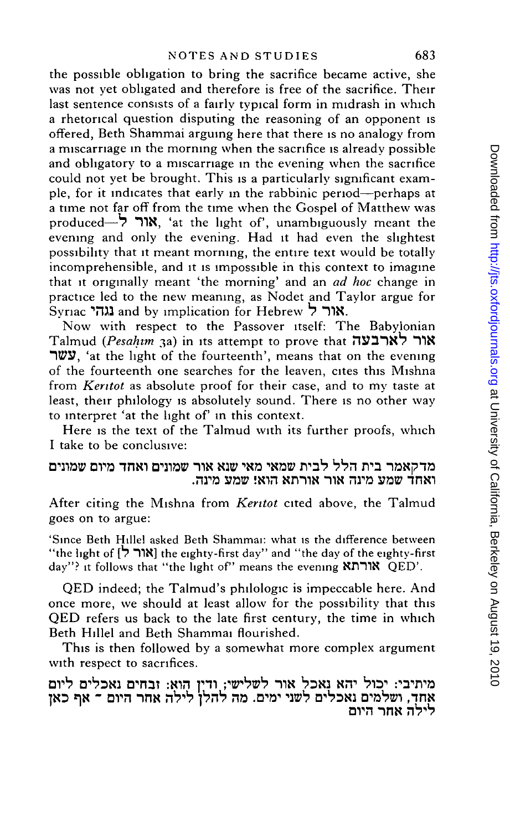the possible obligation to bring the sacrifice became active, she was not yet obligated and therefore is free of the sacrifice. Their last sentence consists of a fairly typical form in midrash in which a rhetorical question disputing the reasoning of an opponent is offered, Beth Shammai arguing here that there is no analogy from a miscarriage in the morning when the sacrifice is already possible and obligatory to a miscarriage in the evening when the sacrifice could not yet be brought. This is a particularly significant example, for it indicates that early in the rabbinic period—perhaps at a time not far off from the time when the Gospel of Matthew was produced— $\overrightarrow{7}$  "אור $\overrightarrow{8}$ , 'at the light of', unambiguously meant the evening and only the evening. Had it had even the slightest possibility that it meant morning, the entire text would be totally incomprehensible, and it is impossible in this context to imagine that it originally meant 'the morning' and an *ad hoc* change in practice led to the new meaning, as Nodet and Taylor argue for Syriac **Till** and by implication for Hebrew 7 **"TIN.**

Now with respect to the Passover itself: The Babylonian Talmud *(Pesahim* 3a) in its attempt to prove that **i"lS?mX7** "TIN **WI**, 'at the light of the fourteenth', means that on the evening of the fourteenth one searches for the leaven, cites this Mishna from *Kentot* as absolute proof for their case, and to my taste at least, their philology is absolutely sound. There is no other way to interpret 'at the light of' in this context.

Here is the text of the Talmud with its further proofs, which I take to be conclusive:

## בית הלל לבית שמאי מאי ש<mark>נא אור</mark> שמונים ואחד מיום .ואחד שמע מינה אור אורתא הוא! שמע מינה

After citing the Mishna from *Kentot* cited above, the Talmud goes on to argue:

'Since Beth Hillel asked Beth Shammai: what is the difference between "the light of [7 **TIN]** the eighty-first day" and "the day of the eighty-first day"? it follows that "the light of" means the evening **NflTIN** QED'.

QED indeed; the Talmud's philologic is impeccable here. And once more, we should at least allow for the possibility that this QED refers us back to the late first century, the time in which Beth Hillel and Beth Shammai flourished.

This is then followed by a somewhat more complex argument with respect to sacrifices.

מיתיבי: יכול יהא נאכל אור לשלישי; ודין הִואָ: זבחים נאכלים ליום אחד, ושלמים נאכלים לשני ימים. מה להלן לילה אחר היום <sup>ב</sup> אף כאן לילה אחר היום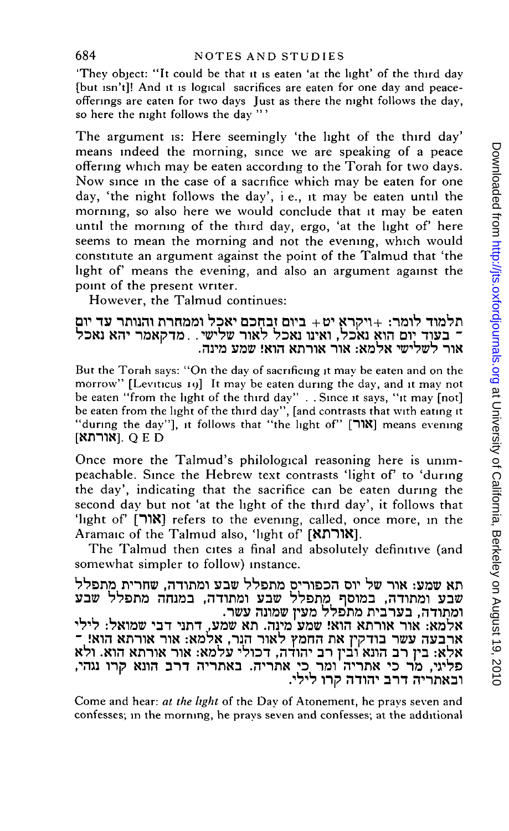'They object: "It could be that it is eaten 'at the light' of the third day [but isn't]! And it is logical sacrifices are eaten for one day and peaceofferings are eaten for two days Just as there the night follows the day, so here the night follows the day "'

The argument is: Here seemingly 'the light of the third day' means indeed the morning, since we are speaking of a peace offering which may be eaten according to the Torah for two days. Now since in the case of a sacrifice which may be eaten for one day, 'the night follows the day', i e., it may be eaten until the morning, so also here we would conclude that it may be eaten until the morning of the third day, ergo, 'at the light of' here seems to mean the morning and not the evening, which would constitute an argument against the point of the Talmud that 'the light of means the evening, and also an argument against the point of the present writer.

However, the Talmud continues:

תלמוד לומר: +ויקרא יט+ ביום זבחכם יאכל וממחרת והנותר עד יום ים הוא נאכל, ואינו נאכל לאור שלישי. . מדקאמר יהא נאכל<sub>,</sub> אור לשלישי אלמא: אור אורתא הוא! שמע מינה.

But the Torah says: "On the day of sacrificing it may be eaten and on the morrow" [Leviticus 19] It may be eaten during the day, and it may not be eaten "from the light of the third day" . . Since it says, "it may [not] be eaten from the light of the third day", [and contrasts that with eating it "during the day"], it follows that "the light of" ["אור"] means evening  $[$ אורתא]. Q E D

Once more the Talmud's philological reasoning here is unimpeachable. Since the Hebrew text contrasts 'light of' to 'during the day', indicating that the sacrifice can be eaten during the second day but not 'at the light of the third day', it follows that 'light of [TIN] refers to the evening, called, once more, in the Aramaic of the Talmud also, 'light of' [XnTIX].

The Talmud then cites a final and absolutely definitive (and somewhat simpler to follow) instance.

תא שמע: אור של יוס הכפוריס מתפלל שבע ומתודה. שחרית מתפלל שבע ומתודה, במוסף מתפלל שבע ומתודה, במנחה מתפלל שבע ומתודה, בערבית מתפלל מעין שמונה עשר. אלמא: אור אורתא הוא! שמע<sup>י</sup>מינה. תא שמע, דתני דבי שמואל: לילי **- !Nin NmiN TIN :Na7N ,TJH TIN<sup>1</sup> ? pn n DN fpli a T»» HS73TN** לא: בין רב הונא ובין רב יהודה, דכולי עלמא: אור אורתא הוא. ולא מר כי אתריה ומר כי אתריה. באתריה דרב הונא קרו נגהי,<br>ה חבר נבורת הבן לול. . דרב יהודה קרו לילי<br>.

Come and hear: *at the light* of the Day of Atonement, he prays seven and confesses; in the morning, he prays seven and confesses; at the additional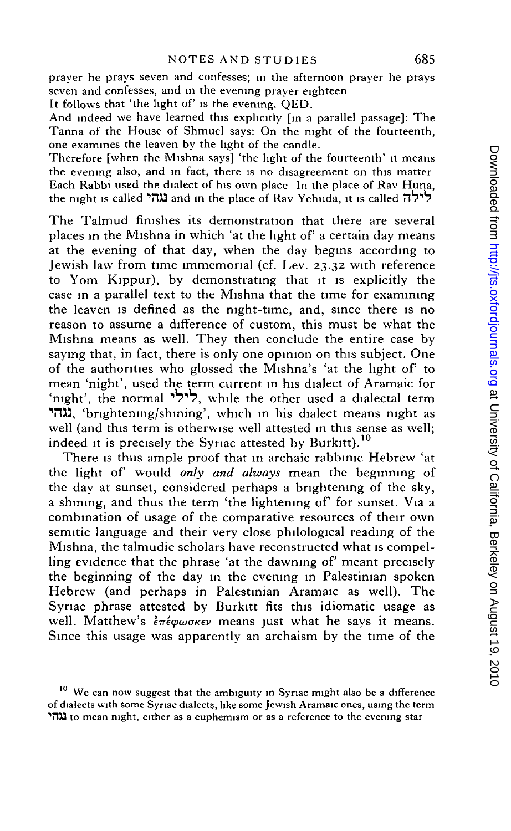prayer he prays seven and confesses; in the afternoon prayer he prays seven and confesses, and in the evening prayer eighteen

It follows that 'the light of' is the evening. QED.

And indeed we have learned this explicitly [in a parallel passage]: The Tanna of the House of Shmuel says: On the night of the fourteenth, one examines the leaven by the light of the candle.

Therefore [when the Mishna says] 'the light of the fourteenth' it means the evening also, and in fact, there is no disagreement on this matter Each Rabbi used the dialect of his own place In the place of Rav Huna, the night is called ג<mark>והי a</mark>nd in the place of Rav Yehuda, it is called ליל<mark>ה</mark>

The Talmud finishes its demonstration that there are several places in the Mishna in which 'at the light of' a certain day means at the evening of that day, when the day begins according to Jewish law from time immemorial (cf. Lev. 23.32 with reference to Yom Kippur), by demonstrating that it is explicitly the case in a parallel text to the Mishna that the time for examining the leaven is defined as the night-time, and, since there is no reason to assume a difference of custom, this must be what the Mishna means as well. They then conclude the entire case by saying that, in fact, there is only one opinion on this subject. One of the authorities who glossed the Mishna's 'at the light of to mean 'night', used the term current in his dialect of Aramaic for 'night', the normal  $\forall$ ילי, while the other used a dialectal term  $T_{\text{trig}}$ , 'brightening/shining', which in his dialect means night as well (and this term is otherwise well attested in this sense as well; indeed it is precisely the Syriac attested by Burkitt).<sup>10</sup>

There is thus ample proof that in archaic rabbinic Hebrew 'at the light of would *only and always* mean the beginning of the day at sunset, considered perhaps a brightening of the sky, a shining, and thus the term 'the lightening of' for sunset. Via a combination of usage of the comparative resources of their own semitic language and their very close philological reading of the Mishna, the talmudic scholars have reconstructed what is compelling evidence that the phrase 'at the dawning of' meant precisely the beginning of the day in the evening in Palestinian spoken Hebrew (and perhaps in Palestinian Aramaic as well). The Syriac phrase attested by Burkitt fits this idiomatic usage as well. Matthew's επέφωσκεν means just what he says it means. Since this usage was apparently an archaism by the time of the

 $10$  We can now suggest that the ambiguity in Syriac might also be a difference of dialects with some Syriac dialects, like some Jewish Aramaic ones, using the term T113 to mean night, either as a euphemism or as a reference to the evening star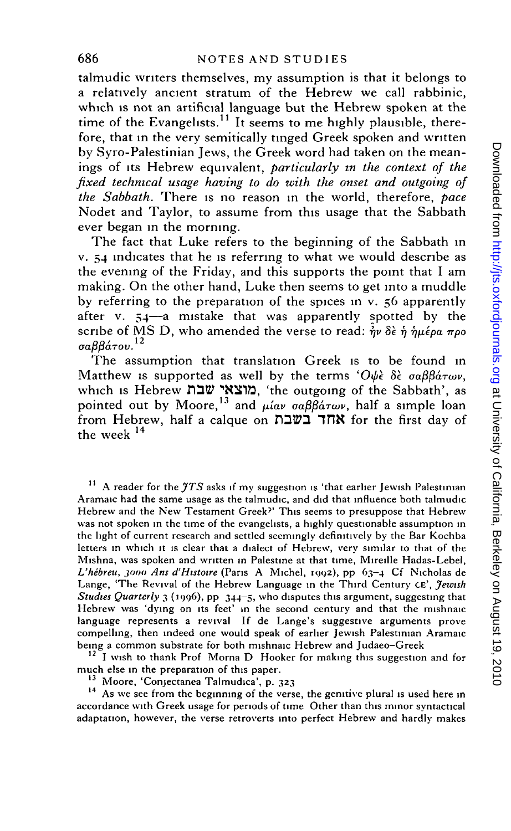talmudic writers themselves, my assumption is that it belongs to a relatively ancient stratum of the Hebrew we call rabbinic, which is not an artificial language but the Hebrew spoken at the time of the Evangelists.<sup>11</sup> It seems to me highly plausible, therefore, that in the very semitically tinged Greek spoken and written by Syro-Palestinian Jews, the Greek word had taken on the meanings of its Hebrew equivalent, *particularly in the context of the fixed technical usage having to do with the onset and outgoing of the Sabbath.* There is no reason in the world, therefore, *pace* Nodet and Taylor, to assume from this usage that the Sabbath ever began in the morning.

The fact that Luke refers to the beginning of the Sabbath in v. 54 indicates that he is referring to what we would describe as the evening of the Friday, and this supports the point that I am making. On the other hand, Luke then seems to get into a muddle by referring to the preparation of the spices in v. 56 apparently after v.  $54$ —a mistake that was apparently spotted by the scribe of MS D, who amended the verse to read: *ἠν* δὲ ἡ ἡμέρα προ<br>σαββάτου.<sup>12</sup>

The assumption that translation Greek is to be found in Matthew is supported as well by the terms 'Ourle 8k oaBBaTwv, which is Hebrew שבח "מוצאי שבח, 'the outgoing of the Sabbath', as pointed out by Moore,<sup>13</sup> and  $\mu$ *iav*  $\sigma \alpha \beta \beta \acute{a} \tau \omega \nu$ , half a simple loan from Hebrew, half a calque on החד בשבת for the first day of the week  $^{\rm 14}$ 

 $11$  A reader for the  $\gamma$ TS asks if my suggestion is 'that earlier Jewish Palestinian Aramaic had the same usage as the talmudic, and did that influence both talmudic Hebrew and the New Testament Greek?' This seems to presuppose that Hebrew was not spoken in the time of the evangelists, a highly questionable assumption in the light of current research and settled seemingly definitively by the Bar Kochba letters in which it is clear that a dialect of Hebrew, very similar to that of the Mishna, was spoken and written in Palestine at that time, Mireille Hadas-Lebel, L'hébreu, 3000 Ans d'Histoire (Paris A Michel, 1992), pp 63-4 Cf Nicholas de Lange, 'The Revival of the Hebrew Language in the Third Century CE', *Jewish Studies Quarterly* 3 (1996), pp 344-5, who disputes this argument, suggesting that Hebrew was 'dying on its feet' in the second century and that the mishnaic language represents a revival If de Lange's suggestive arguments prove compelling, then indeed one would speak of earlier Jewish Palestinian Aramaic being a common substrate for both mishnaic Hebrew and Judaeo-Greek

<sup>12</sup> I wish to thank Prof Morna D Hooker for making this suggestion and for much else in the preparation of this paper.

<sup>13</sup> Moore, 'Conjectanea Talmudica', p. 323

<sup>14</sup> As we see from the beginning of the verse, the genitive plural is used here in accordance with Greek usage for periods of time Other than this minor syntactical adaptation, however, the verse retroverts into perfect Hebrew and hardly makes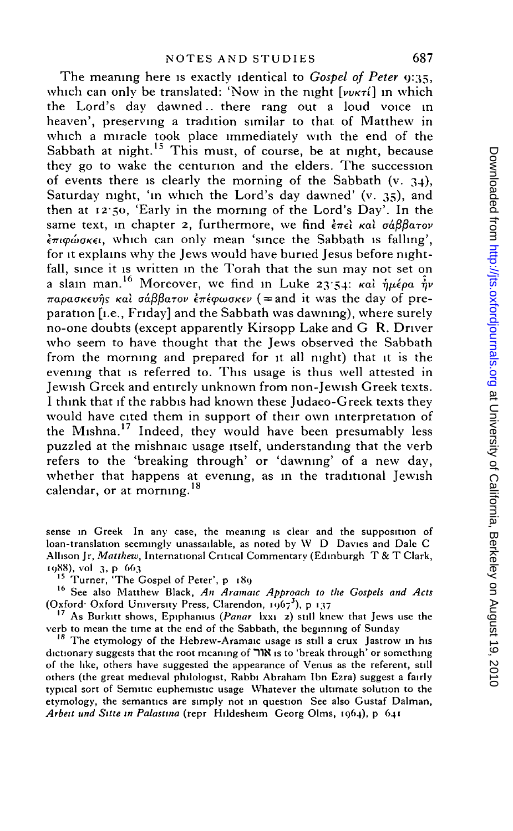The meaning here is exactly identical to *Gospel of Peter* 9:35, which can only be translated: 'Now in the night  $[vw \kappa \tau i]$  in which the Lord's day dawned., there rang out a loud voice in heaven', preserving a tradition similar to that of Matthew in which a miracle took place immediately with the end of the Sabbath at night.<sup>15</sup> This must, of course, be at night, because they go to wake the centurion and the elders. The succession of events there is clearly the morning of the Sabbath (v. 34), Saturday night, 'in which the Lord's day dawned' (v. 35), and then at 12-50, 'Early in the morning of the Lord's Day'. In the same text, in chapter 2, furthermore, we find  $\epsilon \pi \epsilon \hat{i}$  και σάββατον  $\epsilon_{\pi}$ *iq*  $\omega$ *okei*, which can only mean 'since the Sabbath is falling', for it explains why the Jews would have buried Jesus before nightfall, since it is written in the Torah that the sun may not set on a slain man.<sup>16</sup> Moreover, we find in Luke 23:54:  $\kappa a\hat{i}$   $\hat{j}_{\mu}\hat{\epsilon}$  $\pi$ apao<sub>Kevns</sub> kai  $\sigma$ *á* $\beta\beta$ a*rov inéφωσκεν* ( = and it was the day of preparation [i.e., Friday] and the Sabbath was dawning), where surely no-one doubts (except apparently Kirsopp Lake and G R. Driver who seem to have thought that the Jews observed the Sabbath from the morning and prepared for it all night) that it is the evening that is referred to. This usage is thus well attested in Jewish Greek and entirely unknown from non-Jewish Greek texts. I think that if the rabbis had known these Judaeo-Greek texts they would have cited them in support of their own interpretation of would have cited them in support of their own interpretation of<br>the Mishna<sup>17</sup> Indeed, they would have been presumably less puzzled at the mishnaic usage itself, understanding that the verb refers to the 'breaking through' or 'dawning' of a new day, whether that happens at evening, as in the traditional Jewish calendar, or at morning.<sup>18</sup>

sense in Greek In any case, the meaning is clear and the supposition of loan-translation seemingly unassailable, as noted by W D Davies and Dale C Allison Jr, *Matthew,* International Critical Commentary (Edinburgh T & T Clark, 1988), vol 3, p 663

<sup>15</sup> Turner, 'The Gospel of Peter', p 189

16 See also Matthew Black, *An Aramaic Approach to the Gospels and Acts* (Oxford Oxford University Press, Clarendon,  $1967^3$ ), p 137

17 As Burkitt shows, Epiphanius *(Panar* lxxi 2) still knew that Jews use the verb to mean the time at the end of the Sabbath, the beginning of Sunday

<sup>18</sup> The etymology of the Hebrew-Aramaic usage is still a crux Jastrow in his dictionary suggests that the root meaning of TIN is to 'break through' or something of the like, others have suggested the appearance of Venus as the referent, still others (the great medieval philologist, Rabbi Abraham Ibn Ezra) suggest a fairly typical sort of Semitic euphemistic usage Whatever the ultimate solution to the etymology, the semantics are simply not in question See also Gustaf Dalman, *Arbeit und Sitte in Palastina* (repr Hildesheim Georg Olms, 1964), p 641